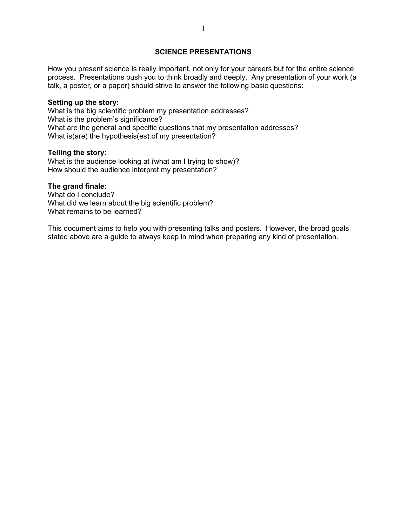## **SCIENCE PRESENTATIONS**

How you present science is really important, not only for your careers but for the entire science process. Presentations push you to think broadly and deeply. Any presentation of your work (a talk, a poster, or a paper) should strive to answer the following basic questions:

#### **Setting up the story:**

What is the big scientific problem my presentation addresses? What is the problem's significance? What are the general and specific questions that my presentation addresses? What is(are) the hypothesis(es) of my presentation?

#### **Telling the story:**

What is the audience looking at (what am I trying to show)? How should the audience interpret my presentation?

#### **The grand finale:**

What do I conclude? What did we learn about the big scientific problem? What remains to be learned?

This document aims to help you with presenting talks and posters. However, the broad goals stated above are a guide to always keep in mind when preparing any kind of presentation.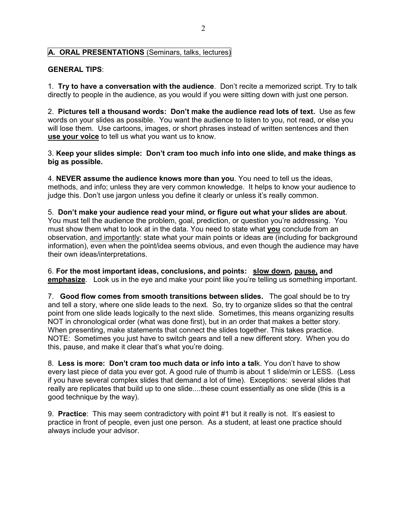# **A. ORAL PRESENTATIONS** (Seminars, talks, lectures)

# **GENERAL TIPS**:

1. **Try to have a conversation with the audience**. Don't recite a memorized script. Try to talk directly to people in the audience, as you would if you were sitting down with just one person.

2. **Pictures tell a thousand words: Don't make the audience read lots of text.** Use as few words on your slides as possible. You want the audience to listen to you, not read, or else you will lose them. Use cartoons, images, or short phrases instead of written sentences and then **use your voice** to tell us what you want us to know.

3. **Keep your slides simple: Don't cram too much info into one slide, and make things as big as possible.**

4. **NEVER assume the audience knows more than you**. You need to tell us the ideas, methods, and info; unless they are very common knowledge. It helps to know your audience to judge this. Don't use jargon unless you define it clearly or unless it's really common.

5. **Don't make your audience read your mind, or figure out what your slides are about**. You must tell the audience the problem, goal, prediction, or question you're addressing. You must show them what to look at in the data. You need to state what **you** conclude from an observation, and importantly: state what your main points or ideas are (including for background information), even when the point/idea seems obvious, and even though the audience may have their own ideas/interpretations.

6. **For the most important ideas, conclusions, and points: slow down, pause, and emphasize**. Look us in the eye and make your point like you're telling us something important.

7. **Good flow comes from smooth transitions between slides.** The goal should be to try and tell a story, where one slide leads to the next. So, try to organize slides so that the central point from one slide leads logically to the next slide. Sometimes, this means organizing results NOT in chronological order (what was done first), but in an order that makes a better story. When presenting, make statements that connect the slides together. This takes practice. NOTE: Sometimes you just have to switch gears and tell a new different story. When you do this, pause, and make it clear that's what you're doing.

8. **Less is more: Don't cram too much data or info into a tal**k. You don't have to show every last piece of data you ever got. A good rule of thumb is about 1 slide/min or LESS. (Less if you have several complex slides that demand a lot of time). Exceptions: several slides that really are replicates that build up to one slide....these count essentially as one slide (this is a good technique by the way).

9. **Practice**: This may seem contradictory with point #1 but it really is not. It's easiest to practice in front of people, even just one person. As a student, at least one practice should always include your advisor.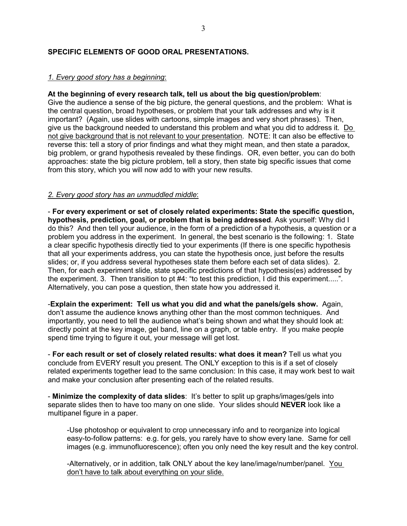# **SPECIFIC ELEMENTS OF GOOD ORAL PRESENTATIONS.**

## *1. Every good story has a beginning*:

#### **At the beginning of every research talk, tell us about the big question/problem**:

Give the audience a sense of the big picture, the general questions, and the problem: What is the central question, broad hypotheses, or problem that your talk addresses and why is it important? (Again, use slides with cartoons, simple images and very short phrases). Then, give us the background needed to understand this problem and what you did to address it. Do not give background that is not relevant to your presentation. NOTE: It can also be effective to reverse this: tell a story of prior findings and what they might mean, and then state a paradox, big problem, or grand hypothesis revealed by these findings. OR, even better, you can do both approaches: state the big picture problem, tell a story, then state big specific issues that come from this story, which you will now add to with your new results.

## *2. Every good story has an unmuddled middle*:

- **For every experiment or set of closely related experiments: State the specific question, hypothesis, prediction, goal, or problem that is being addressed**. Ask yourself: Why did I do this? And then tell your audience, in the form of a prediction of a hypothesis, a question or a problem you address in the experiment. In general, the best scenario is the following: 1. State a clear specific hypothesis directly tied to your experiments (If there is one specific hypothesis that all your experiments address, you can state the hypothesis once, just before the results slides; or, if you address several hypotheses state them before each set of data slides). 2. Then, for each experiment slide, state specific predictions of that hypothesis(es) addressed by the experiment. 3. Then transition to pt #4: "to test this prediction, I did this experiment.....". Alternatively, you can pose a question, then state how you addressed it.

-**Explain the experiment: Tell us what you did and what the panels/gels show.** Again, don't assume the audience knows anything other than the most common techniques. And importantly, you need to tell the audience what's being shown and what they should look at: directly point at the key image, gel band, line on a graph, or table entry. If you make people spend time trying to figure it out, your message will get lost.

- **For each result or set of closely related results: what does it mean?** Tell us what you conclude from EVERY result you present. The ONLY exception to this is if a set of closely related experiments together lead to the same conclusion: In this case, it may work best to wait and make your conclusion after presenting each of the related results.

- **Minimize the complexity of data slides**: It's better to split up graphs/images/gels into separate slides then to have too many on one slide. Your slides should **NEVER** look like a multipanel figure in a paper.

-Use photoshop or equivalent to crop unnecessary info and to reorganize into logical easy-to-follow patterns: e.g. for gels, you rarely have to show every lane. Same for cell images (e.g. immunofluorescence); often you only need the key result and the key control.

-Alternatively, or in addition, talk ONLY about the key lane/image/number/panel. You don't have to talk about everything on your slide.